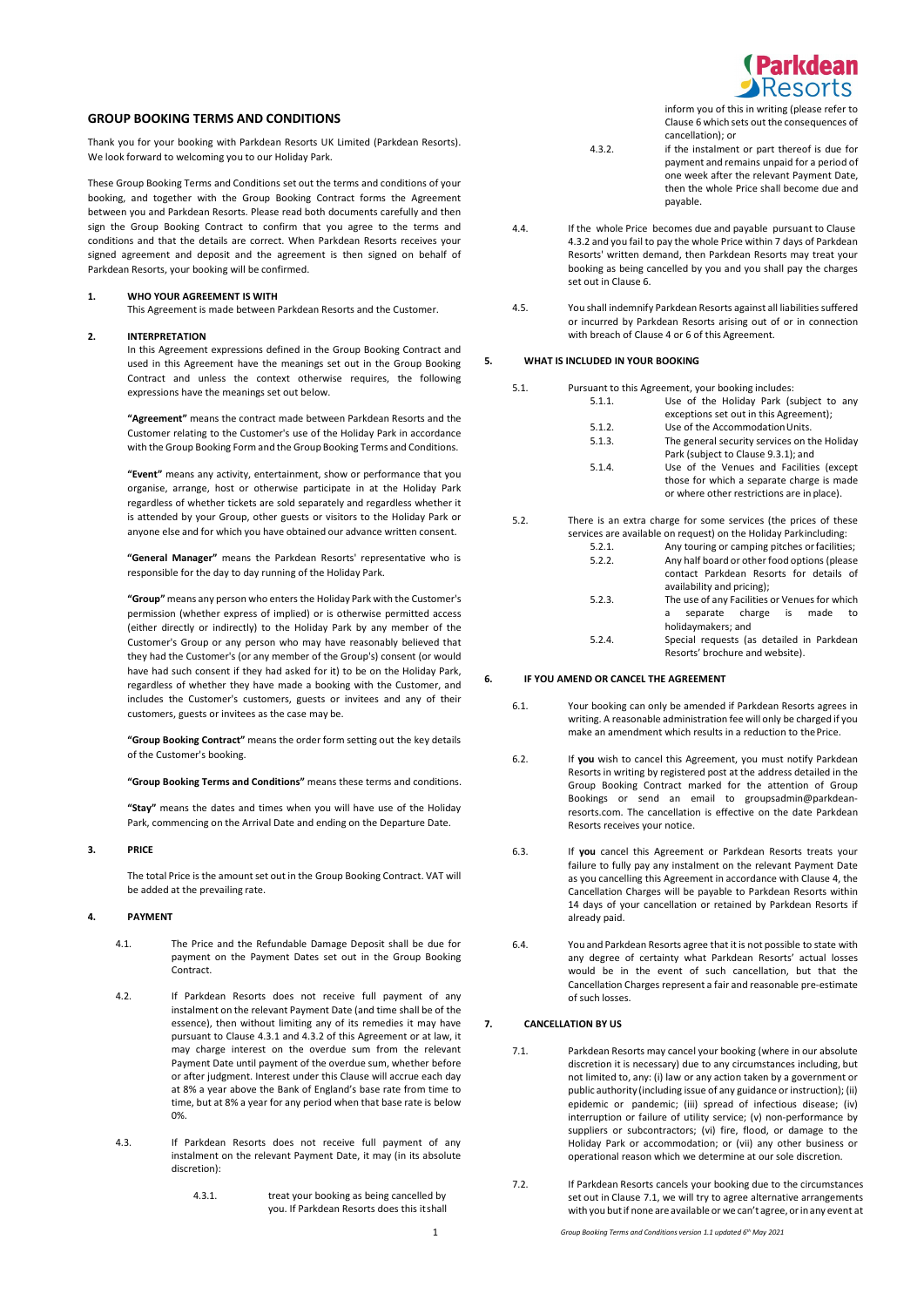

# **GROUP BOOKING TERMS AND CONDITIONS**

Thank you for your booking with Parkdean Resorts UK Limited (Parkdean Resorts). We look forward to welcoming you to our Holiday Park.

These Group Booking Terms and Conditions set out the terms and conditions of your booking, and together with the Group Booking Contract forms the Agreement between you and Parkdean Resorts. Please read both documents carefully and then sign the Group Booking Contract to confirm that you agree to the terms and conditions and that the details are correct. When Parkdean Resorts receives your signed agreement and deposit and the agreement is then signed on behalf of Parkdean Resorts, your booking will be confirmed.

### **1. WHO YOUR AGREEMENT IS WITH**

This Agreement is made between Parkdean Resorts and the Customer.

## **2. INTERPRETATION**

In this Agreement expressions defined in the Group Booking Contract and used in this Agreement have the meanings set out in the Group Booking Contract and unless the context otherwise requires, the following expressions have the meanings set out below.

**"Agreement"** means the contract made between Parkdean Resorts and the Customer relating to the Customer's use of the Holiday Park in accordance with the Group Booking Form and the Group Booking Terms and Conditions.

**"Event"** means any activity, entertainment, show or performance that you organise, arrange, host or otherwise participate in at the Holiday Park regardless of whether tickets are sold separately and regardless whether it is attended by your Group, other guests or visitors to the Holiday Park or anyone else and for which you have obtained our advance written consent.

**"General Manager"** means the Parkdean Resorts' representative who is responsible for the day to day running of the Holiday Park.

**"Group"** means any person who enters the Holiday Park with the Customer's permission (whether express of implied) or is otherwise permitted access (either directly or indirectly) to the Holiday Park by any member of the Customer's Group or any person who may have reasonably believed that they had the Customer's (or any member of the Group's) consent (or would have had such consent if they had asked for it) to be on the Holiday Park, regardless of whether they have made a booking with the Customer, and includes the Customer's customers, guests or invitees and any of their customers, guests or invitees as the case may be.

**"Group Booking Contract"** means the order form setting out the key details of the Customer's booking.

**"Group Booking Terms and Conditions"** means these terms and conditions.

**"Stay"** means the dates and times when you will have use of the Holiday Park, commencing on the Arrival Date and ending on the Departure Date.

### **3. PRICE**

The total Price is the amount set out in the Group Booking Contract. VAT will be added at the prevailing rate.

## **4. PAYMENT**

- 4.1. The Price and the Refundable Damage Deposit shall be due for payment on the Payment Dates set out in the Group Booking Contract.
- 4.2. If Parkdean Resorts does not receive full payment of any instalment on the relevant Payment Date (and time shall be of the essence), then without limiting any of its remedies it may have pursuant to Clause 4.3.1 and 4.3.2 of this Agreement or at law, it may charge interest on the overdue sum from the relevant Payment Date until payment of the overdue sum, whether before or after judgment. Interest under this Clause will accrue each day at 8% a year above the Bank of England's base rate from time to time, but at 8% a year for any period when that base rate is below 0%.
- 4.3. If Parkdean Resorts does not receive full payment of any instalment on the relevant Payment Date, it may (in its absolute discretion):
	- 4.3.1. treat your booking as being cancelled by you. If Parkdean Resorts does this itshall

inform you of this in writing (please refer to Clause 6 which sets out the consequences of cancellation); or

- 4.3.2. if the instalment or part thereof is due for payment and remains unpaid for a period of one week after the relevant Payment Date, then the whole Price shall become due and payable.
- 4.4. If the whole Price becomes due and payable pursuant to Clause 4.3.2 and you fail to pay the whole Price within 7 days of Parkdean Resorts' written demand, then Parkdean Resorts may treat your booking as being cancelled by you and you shall pay the charges set out in Clause 6.
- 4.5. You shall indemnify Parkdean Resorts against all liabilities suffered or incurred by Parkdean Resorts arising out of or in connection with breach of Clause 4 or 6 of this Agreement.

#### **5. WHAT IS INCLUDED IN YOUR BOOKING**

- 5.1. Pursuant to this Agreement, your booking includes:<br>5.1.1. Use of the Holiday Park (s Use of the Holiday Park (subject to any exceptions set out in this Agreement); 5.1.2. Use of the Accommodation Units.<br>5.1.3. The general security services on t The general security services on the Holiday Park (subject to Clause 9.3.1); and 5.1.4. Use of the Venues and Facilities (except those for which a separate charge is made or where other restrictions are in place).
- 5.2. There is an extra charge for some services (the prices of these services are available on request) on the Holiday Parkincluding:

| 5.2.1. | Any touring or camping pitches or facilities; |  |  |
|--------|-----------------------------------------------|--|--|
| 5.2.2. | Any half board or other food options (please  |  |  |
|        | contact Parkdean Resorts for details of       |  |  |
|        | availability and pricing);                    |  |  |
| 5.2.3. | The use of any Facilities or Venues for which |  |  |
|        | separate charge is<br>made<br>to<br>a         |  |  |
|        | holidaymakers; and                            |  |  |
|        | .                                             |  |  |

5.2.4. Special requests (as detailed in Parkdean Resorts' brochure and website).

## **6. IF YOU AMEND OR CANCEL THE AGREEMENT**

- 6.1. Your booking can only be amended if Parkdean Resorts agrees in writing. A reasonable administration fee will only be charged if you make an amendment which results in a reduction to thePrice.
- 6.2. If **you** wish to cancel this Agreement, you must notify Parkdean Resortsin writing by registered post at the address detailed in the Group Booking Contract marked for the attention of Group Bookings or send an email to groupsadmin@parkdeanresorts.com. The cancellation is effective on the date Parkdean Resorts receives your notice.
- 6.3. If **you** cancel this Agreement or Parkdean Resorts treats your failure to fully pay any instalment on the relevant Payment Date as you cancelling this Agreement in accordance with Clause 4, the Cancellation Charges will be payable to Parkdean Resorts within 14 days of your cancellation or retained by Parkdean Resorts if already paid.
- 6.4. You and Parkdean Resorts agree that it is not possible to state with any degree of certainty what Parkdean Resorts' actual losses would be in the event of such cancellation, but that the Cancellation Charges represent a fair and reasonable pre-estimate of such losses.

# **7. CANCELLATION BY US**

- 7.1. Parkdean Resorts may cancel your booking (where in our absolute discretion it is necessary) due to any circumstances including, but not limited to, any: (i) law or any action taken by a government or public authority (including issue of any guidance or instruction); (ii) epidemic or pandemic; (iii) spread of infectious disease; (iv) interruption or failure of utility service; (v) non-performance by suppliers or subcontractors; (vi) fire, flood, or damage to the Holiday Park or accommodation; or (vii) any other business or operational reason which we determine at our sole discretion.
- 7.2. If Parkdean Resorts cancels your booking due to the circumstances set out in Clause 7.1, we will try to agree alternative arrangements with you but if none are available or we can't agree, or in any event at

1 *Group Booking Terms and Conditions version 1.1 updated 6th May 2021*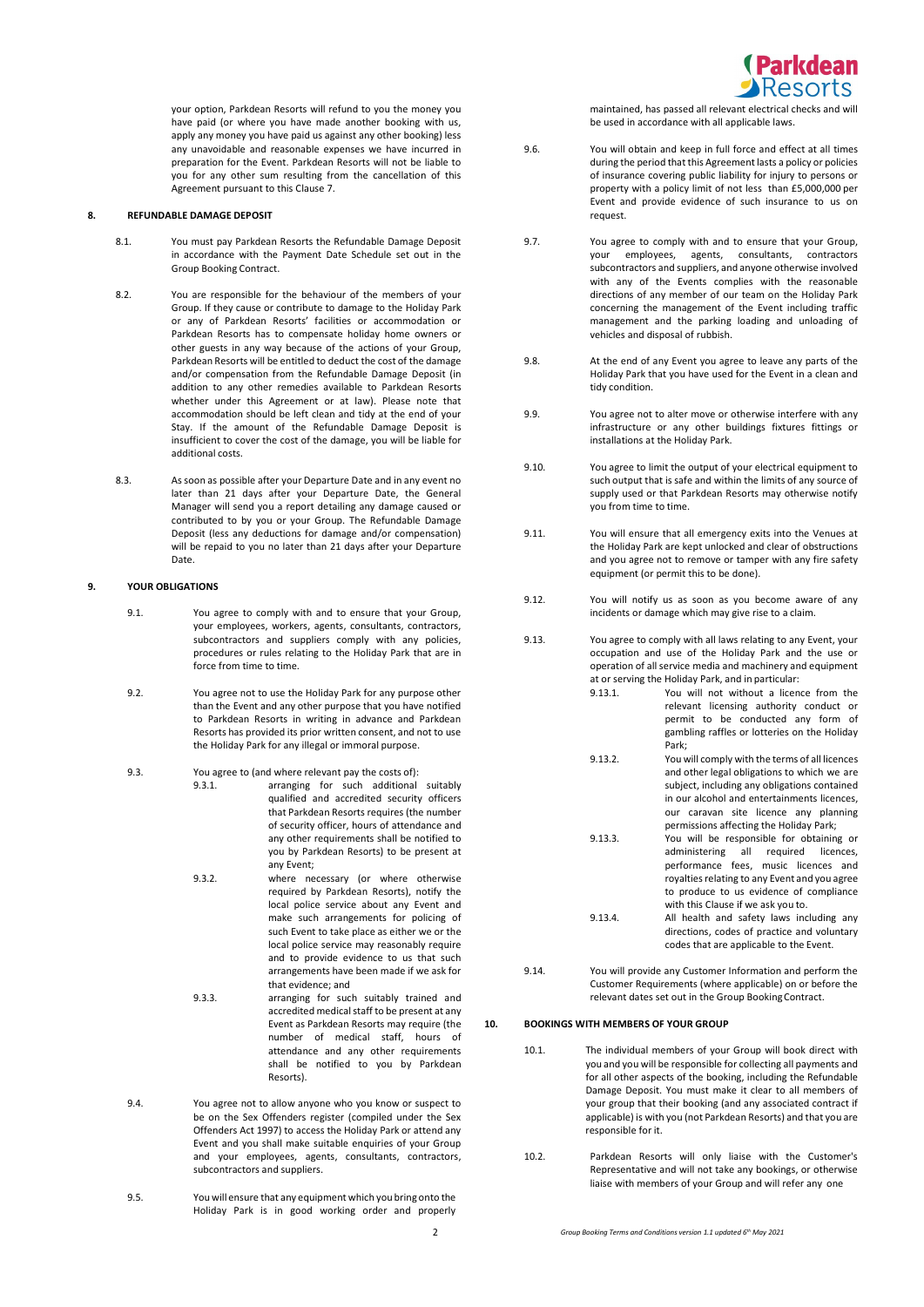

your option, Parkdean Resorts will refund to you the money you have paid (or where you have made another booking with us, apply any money you have paid us against any other booking) less any unavoidable and reasonable expenses we have incurred in preparation for the Event. Parkdean Resorts will not be liable to you for any other sum resulting from the cancellation of this Agreement pursuant to this Clause 7.

## **8. REFUNDABLE DAMAGE DEPOSIT**

- 8.1. You must pay Parkdean Resorts the Refundable Damage Deposit in accordance with the Payment Date Schedule set out in the Group Booking Contract.
- 8.2. You are responsible for the behaviour of the members of your Group. If they cause or contribute to damage to the Holiday Park or any of Parkdean Resorts' facilities or accommodation or Parkdean Resorts has to compensate holiday home owners or other guests in any way because of the actions of your Group, Parkdean Resorts will be entitled to deduct the cost of the damage and/or compensation from the Refundable Damage Deposit (in addition to any other remedies available to Parkdean Resorts whether under this Agreement or at law). Please note that accommodation should be left clean and tidy at the end of your Stay. If the amount of the Refundable Damage Deposit is insufficient to cover the cost of the damage, you will be liable for additional costs.
- 8.3. As soon as possible after your Departure Date and in any event no later than 21 days after your Departure Date, the General Manager will send you a report detailing any damage caused or contributed to by you or your Group. The Refundable Damage Deposit (less any deductions for damage and/or compensation) will be repaid to you no later than 21 days after your Departure Date.

### **9. YOUR OBLIGATIONS**

- 9.1. You agree to comply with and to ensure that your Group, your employees, workers, agents, consultants, contractors, subcontractors and suppliers comply with any policies, procedures or rules relating to the Holiday Park that are in force from time to time.
- 9.2. You agree not to use the Holiday Park for any purpose other than the Event and any other purpose that you have notified to Parkdean Resorts in writing in advance and Parkdean Resorts has provided its prior written consent, and not to use the Holiday Park for any illegal or immoral purpose.
- 9.3. You agree to (and where relevant pay the costs of): 9.3.1. arranging for such additional suitably qualified and accredited security officers that Parkdean Resorts requires (the number of security officer, hours of attendance and any other requirements shall be notified to you by Parkdean Resorts) to be present at any Event;
	- 9.3.2. where necessary (or where otherwise required by Parkdean Resorts), notify the local police service about any Event and make such arrangements for policing of such Event to take place as either we or the local police service may reasonably require and to provide evidence to us that such arrangements have been made if we ask for that evidence; and
	- 9.3.3. arranging for such suitably trained and accredited medical staff to be present at any Event as Parkdean Resorts may require (the number of medical staff, hours of attendance and any other requirements shall be notified to you by Parkdean Resorts).
- 9.4. You agree not to allow anyone who you know or suspect to be on the Sex Offenders register (compiled under the Sex Offenders Act 1997) to access the Holiday Park or attend any Event and you shall make suitable enquiries of your Group and your employees, agents, consultants, contractors, subcontractors and suppliers.
- 9.5. You will ensure that any equipment which you bring onto the Holiday Park is in good working order and properly

maintained, has passed all relevant electrical checks and will be used in accordance with all applicable laws.

- 9.6. You will obtain and keep in full force and effect at all times during the period that this Agreement lasts a policy or policies of insurance covering public liability for injury to persons or property with a policy limit of not less than £5,000,000 per Event and provide evidence of such insurance to us on request.
- 9.7. You agree to comply with and to ensure that your Group, your employees, agents, consultants, contractors subcontractors and suppliers, and anyone otherwise involved with any of the Events complies with the reasonable directions of any member of our team on the Holiday Park concerning the management of the Event including traffic management and the parking loading and unloading of vehicles and disposal of rubbish.
- 9.8. At the end of any Event you agree to leave any parts of the Holiday Park that you have used for the Event in a clean and tidy condition.
- 9.9. You agree not to alter move or otherwise interfere with any infrastructure or any other buildings fixtures fittings or installations at the Holiday Park.
- 9.10. You agree to limit the output of your electrical equipment to such output that is safe and within the limits of any source of supply used or that Parkdean Resorts may otherwise notify you from time to time.
- 9.11. You will ensure that all emergency exits into the Venues at the Holiday Park are kept unlocked and clear of obstructions and you agree not to remove or tamper with any fire safety equipment (or permit this to be done).
- 9.12. You will notify us as soon as you become aware of any incidents or damage which may give rise to a claim.
- 9.13. You agree to comply with all laws relating to any Event, your occupation and use of the Holiday Park and the use or operation of all service media and machinery and equipment at or serving the Holiday Park, and in particular:
	- You will not without a licence from the relevant licensing authority conduct or permit to be conducted any form of gambling raffles or lotteries on the Holiday Park;
	- 9.13.2. You will comply with the terms of all licences and other legal obligations to which we are subject, including any obligations contained in our alcohol and entertainments licences, our caravan site licence any planning permissions affecting the Holiday Park;
	- 9.13.3. You will be responsible for obtaining or administering all required licences, performance fees, music licences and royalties relating to any Event and you agree to produce to us evidence of compliance with this Clause if we ask you to. 9.13.4. All health and safety laws including any
	- directions, codes of practice and voluntary codes that are applicable to the Event.
- 9.14. You will provide any Customer Information and perform the Customer Requirements (where applicable) on or before the relevant dates set out in the Group Booking Contract.

#### **10. BOOKINGS WITH MEMBERS OF YOUR GROUP**

- 10.1. The individual members of your Group will book direct with you and you will be responsible for collecting all payments and for all other aspects of the booking, including the Refundable Damage Deposit. You must make it clear to all members of your group that their booking (and any associated contract if applicable) is with you (not Parkdean Resorts) and that you are responsible for it.
- 10.2. Parkdean Resorts will only liaise with the Customer's Representative and will not take any bookings, or otherwise liaise with members of your Group and will refer any one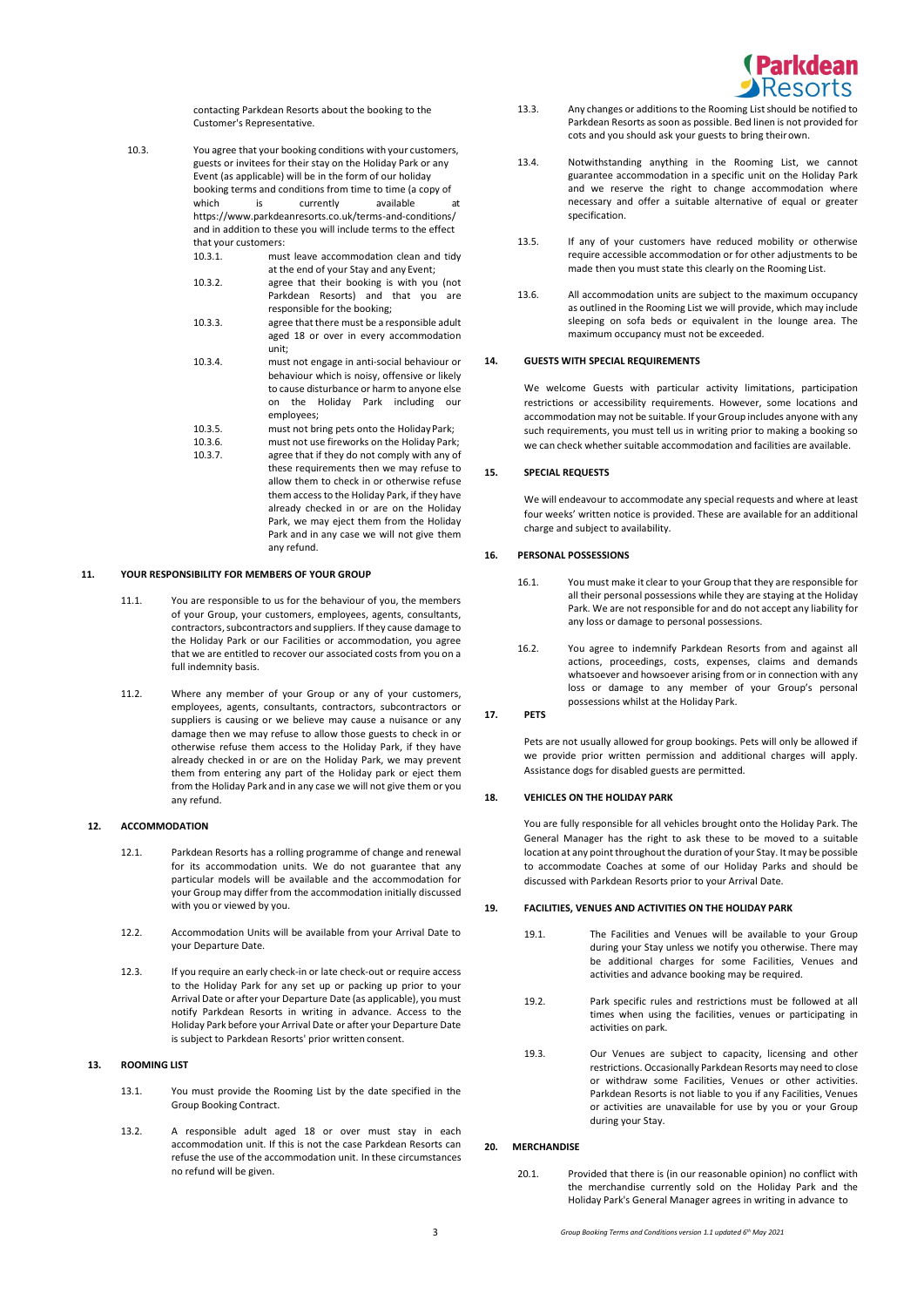

contacting Parkdean Resorts about the booking to the Customer's Representative.

10.3. You agree that your booking conditions with your customers, guests or invitees for their stay on the Holiday Park or any Event (as applicable) will be in the form of our holiday booking terms and conditions from time to time (a copy of<br>which is currently available currently available at https:/[/www.parkdeanresorts.co.uk/terms-and-conditions/](http://www.parkdeanresorts.co.uk/terms-and-conditions/) and in addition to these you will include terms to the effect that your customers:<br>10.3.1 mus must leave accommodation clean and tidy

- at the end of your Stay and any Event; 10.3.2. agree that their booking is with you (not Parkdean Resorts) and that you are
- responsible for the booking; 10.3.3. agree that there must be a responsible adult aged 18 or over in every accommodation
- unit; 10.3.4. must not engage in anti-social behaviour or behaviour which is noisy, offensive or likely to cause disturbance or harm to anyone else on the Holiday Park including our employees;
- 10.3.5. must not bring pets onto the Holiday Park;
- 10.3.6. must not use fireworks on the Holiday Park;<br>10.3.7 agree that if they do not comply with any of agree that if they do not comply with any of these requirements then we may refuse to allow them to check in or otherwise refuse them access to the Holiday Park, if they have already checked in or are on the Holiday Park, we may eject them from the Holiday Park and in any case we will not give them

#### **11. YOUR RESPONSIBILITY FOR MEMBERS OF YOUR GROUP**

11.1. You are responsible to us for the behaviour of you, the members of your Group, your customers, employees, agents, consultants, contractors, subcontractors and suppliers. If they cause damage to the Holiday Park or our Facilities or accommodation, you agree that we are entitled to recover our associated costs from you on a full indemnity basis.

any refund.

11.2. Where any member of your Group or any of your customers, employees, agents, consultants, contractors, subcontractors or suppliers is causing or we believe may cause a nuisance or any damage then we may refuse to allow those guests to check in or otherwise refuse them access to the Holiday Park, if they have already checked in or are on the Holiday Park, we may prevent them from entering any part of the Holiday park or eject them from the Holiday Park and in any case we will not give them or you any refund.

#### **12. ACCOMMODATION**

- 12.1. Parkdean Resorts has a rolling programme of change and renewal for its accommodation units. We do not guarantee that any particular models will be available and the accommodation for your Group may differ from the accommodation initially discussed with you or viewed by you.
- 12.2. Accommodation Units will be available from your Arrival Date to your Departure Date.
- 12.3. If you require an early check-in or late check-out or require access to the Holiday Park for any set up or packing up prior to your Arrival Date or after your Departure Date (as applicable), you must notify Parkdean Resorts in writing in advance. Access to the Holiday Park before your Arrival Date or after your Departure Date is subject to Parkdean Resorts' prior written consent.

# **13. ROOMING LIST**

- 13.1. You must provide the Rooming List by the date specified in the Group Booking Contract.
- 13.2. A responsible adult aged 18 or over must stay in each accommodation unit. If this is not the case Parkdean Resorts can refuse the use of the accommodation unit. In these circumstances no refund will be given.
- 13.3. Any changes or additions to the Rooming Listshould be notified to Parkdean Resorts as soon as possible. Bed linen is not provided for cots and you should ask your guests to bring theirown.
- 13.4. Notwithstanding anything in the Rooming List, we cannot guarantee accommodation in a specific unit on the Holiday Park and we reserve the right to change accommodation where necessary and offer a suitable alternative of equal or greater specification.
- 13.5. If any of your customers have reduced mobility or otherwise require accessible accommodation or for other adjustments to be made then you must state this clearly on the Rooming List.
- 13.6. All accommodation units are subject to the maximum occupancy as outlined in the Rooming List we will provide, which may include sleeping on sofa beds or equivalent in the lounge area. The maximum occupancy must not be exceeded.

#### **14. GUESTS WITH SPECIAL REQUIREMENTS**

We welcome Guests with particular activity limitations, participation restrictions or accessibility requirements. However, some locations and accommodation may not be suitable. If your Group includes anyone with any such requirements, you must tell us in writing prior to making a booking so we can check whether suitable accommodation and facilities are available.

# **15. SPECIAL REQUESTS**

We will endeavour to accommodate any special requests and where at least four weeks' written notice is provided. These are available for an additional charge and subject to availability.

### **16. PERSONAL POSSESSIONS**

- 16.1. You must make it clear to your Group that they are responsible for all their personal possessions while they are staying at the Holiday Park. We are not responsible for and do not accept any liability for any loss or damage to personal possessions.
- 16.2. You agree to indemnify Parkdean Resorts from and against all actions, proceedings, costs, expenses, claims and demands whatsoever and howsoever arising from or in connection with any loss or damage to any member of your Group's personal possessions whilst at the Holiday Park.

#### **17. PETS**

Pets are not usually allowed for group bookings. Pets will only be allowed if we provide prior written permission and additional charges will apply. Assistance dogs for disabled guests are permitted.

### **18. VEHICLES ON THE HOLIDAY PARK**

You are fully responsible for all vehicles brought onto the Holiday Park. The General Manager has the right to ask these to be moved to a suitable location at any point throughout the duration of your Stay. It may be possible to accommodate Coaches at some of our Holiday Parks and should be discussed with Parkdean Resorts prior to your Arrival Date.

#### **19. FACILITIES, VENUES AND ACTIVITIES ON THE HOLIDAY PARK**

- 19.1. The Facilities and Venues will be available to your Group during your Stay unless we notify you otherwise. There may be additional charges for some Facilities, Venues and activities and advance booking may be required.
- 19.2. Park specific rules and restrictions must be followed at all times when using the facilities, venues or participating in activities on park.
- 19.3. Our Venues are subject to capacity, licensing and other restrictions. Occasionally Parkdean Resorts may need to close or withdraw some Facilities, Venues or other activities. Parkdean Resorts is not liable to you if any Facilities, Venues or activities are unavailable for use by you or your Group during your Stay.

## **20. MERCHANDISE**

20.1. Provided that there is (in our reasonable opinion) no conflict with the merchandise currently sold on the Holiday Park and the Holiday Park's General Manager agrees in writing in advance to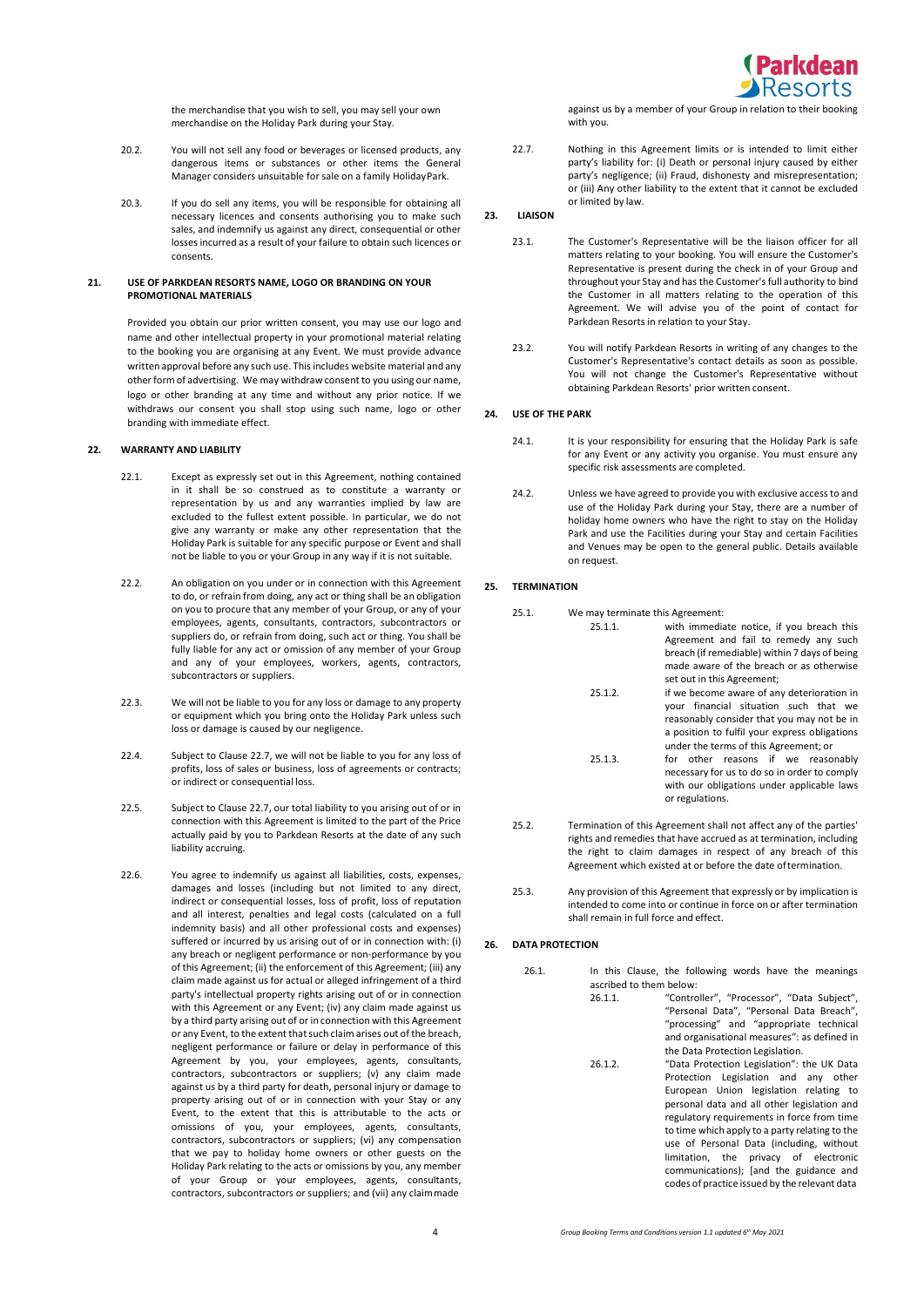

the merchandise that you wish to sell, you may sell your own merchandise on the Holiday Park during your Stay.

- 20.2. You will not sell any food or beverages or licensed products, any dangerous items or substances or other items the General Manager considers unsuitable for sale on a family HolidayPark.
- 20.3. If you do sell any items, you will be responsible for obtaining all necessary licences and consents authorising you to make such sales, and indemnify us against any direct, consequential or other losses incurred as a result of your failure to obtain such licences or consents.

#### **21. USE OF PARKDEAN RESORTS NAME, LOGO OR BRANDING ON YOUR PROMOTIONAL MATERIALS**

Provided you obtain our prior written consent, you may use our logo and name and other intellectual property in your promotional material relating to the booking you are organising at any Event. We must provide advance written approval before any such use. This includes website material and any other form of advertising. We may withdraw consent to you using our name, logo or other branding at any time and without any prior notice. If we withdraws our consent you shall stop using such name, logo or other branding with immediate effect.

# **22. WARRANTY AND LIABILITY**

- 22.1. Except as expressly set out in this Agreement, nothing contained in it shall be so construed as to constitute a warranty or representation by us and any warranties implied by law are excluded to the fullest extent possible. In particular, we do not give any warranty or make any other representation that the Holiday Park is suitable for any specific purpose or Event and shall not be liable to you or your Group in any way if it is not suitable.
- 22.2. An obligation on you under or in connection with this Agreement to do, or refrain from doing, any act or thing shall be an obligation on you to procure that any member of your Group, or any of your employees, agents, consultants, contractors, subcontractors or suppliers do, or refrain from doing, such act or thing. You shall be fully liable for any act or omission of any member of your Group and any of your employees, workers, agents, contractors, subcontractors or suppliers.
- 22.3. We will not be liable to you for any loss or damage to any property or equipment which you bring onto the Holiday Park unless such loss or damage is caused by our negligence.
- 22.4. Subject to Clause 22.7, we will not be liable to you for any loss of profits, loss of sales or business, loss of agreements or contracts; or indirect or consequential loss.
- 22.5. Subject to Clause 22.7, our total liability to you arising out of or in connection with this Agreement is limited to the part of the Price actually paid by you to Parkdean Resorts at the date of any such liability accruing.
- 22.6. You agree to indemnify us against all liabilities, costs, expenses, damages and losses (including but not limited to any direct, indirect or consequential losses, loss of profit, loss of reputation and all interest, penalties and legal costs (calculated on a full indemnity basis) and all other professional costs and expenses) suffered or incurred by us arising out of or in connection with: (i) any breach or negligent performance or non-performance by you of this Agreement; (ii) the enforcement of this Agreement; (iii) any claim made against us for actual or alleged infringement of a third party's intellectual property rights arising out of or in connection with this Agreement or any Event; (iv) any claim made against us by a third party arising out of or in connection with this Agreement or any Event, to the extent thatsuch claim arises out of the breach, negligent performance or failure or delay in performance of this Agreement by you, your employees, agents, consultants, contractors, subcontractors or suppliers; (v) any claim made against us by a third party for death, personal injury or damage to property arising out of or in connection with your Stay or any Event, to the extent that this is attributable to the acts or omissions of you, your employees, agents, consultants, contractors, subcontractors or suppliers; (vi) any compensation that we pay to holiday home owners or other guests on the Holiday Park relating to the acts or omissions by you, any member of your Group or your employees, agents, consultants, contractors, subcontractors or suppliers; and (vii) any claimmade

against us by a member of your Group in relation to their booking with you.

22.7. Nothing in this Agreement limits or is intended to limit either party's liability for: (i) Death or personal injury caused by either party's negligence; (ii) Fraud, dishonesty and misrepresentation; or (iii) Any other liability to the extent that it cannot be excluded or limited by law.

# **23. LIAISON**

- 23.1. The Customer's Representative will be the liaison officer for all matters relating to your booking. You will ensure the Customer's Representative is present during the check in of your Group and throughout your Stay and has the Customer's full authority to bind the Customer in all matters relating to the operation of this Agreement. We will advise you of the point of contact for Parkdean Resorts in relation to your Stay.
- 23.2. You will notify Parkdean Resorts in writing of any changes to the Customer's Representative's contact details as soon as possible. You will not change the Customer's Representative without obtaining Parkdean Resorts' prior written consent.

## **24. USE OF THE PARK**

- 24.1. It is your responsibility for ensuring that the Holiday Park is safe for any Event or any activity you organise. You must ensure any specific risk assessments are completed.
- 24.2. Unless we have agreed to provide you with exclusive access to and use of the Holiday Park during your Stay, there are a number of holiday home owners who have the right to stay on the Holiday Park and use the Facilities during your Stay and certain Facilities and Venues may be open to the general public. Details available on request.

### **25. TERMINATION**

| 25.1. | We may terminate this Agreement: |                                                                                                                                                                                                                             |
|-------|----------------------------------|-----------------------------------------------------------------------------------------------------------------------------------------------------------------------------------------------------------------------------|
|       | 25.1.1.                          | with immediate notice, if you breach this<br>Agreement and fail to remedy any such<br>breach (if remediable) within 7 days of being<br>made aware of the breach or as otherwise<br>set out in this Agreement;               |
|       | 25.1.2.                          | if we become aware of any deterioration in<br>your financial situation such that we<br>reasonably consider that you may not be in<br>a position to fulfil your express obligations<br>under the terms of this Agreement; or |
|       | 25.1.3.                          | for other reasons if we reasonably<br>necessary for us to do so in order to comply<br>with our obligations under applicable laws<br>or regulations.                                                                         |

- 25.2. Termination of this Agreement shall not affect any of the parties' rights and remedies that have accrued as at termination, including the right to claim damages in respect of any breach of this Agreement which existed at or before the date oftermination.
- 25.3. Any provision of this Agreement that expressly or by implication is intended to come into or continue in force on or after termination shall remain in full force and effect.

# **26. DATA PROTECTION**

- 26.1. In this Clause, the following words have the meanings ascribed to them below:<br>26.1.1. "Contro
	- "Controller", "Processor", "Data Subject", "Personal Data", "Personal Data Breach", "processing" and "appropriate technical and organisational measures": as defined in the Data Protection Legislation.
	- 26.1.2. "Data Protection Legislation": the UK Data Protection Legislation and any other European Union legislation relating to personal data and all other legislation and regulatory requirements in force from time to time which apply to a party relating to the use of Personal Data (including, without limitation, the privacy of electronic communications); [and the guidance and codes of practice issued by the relevant data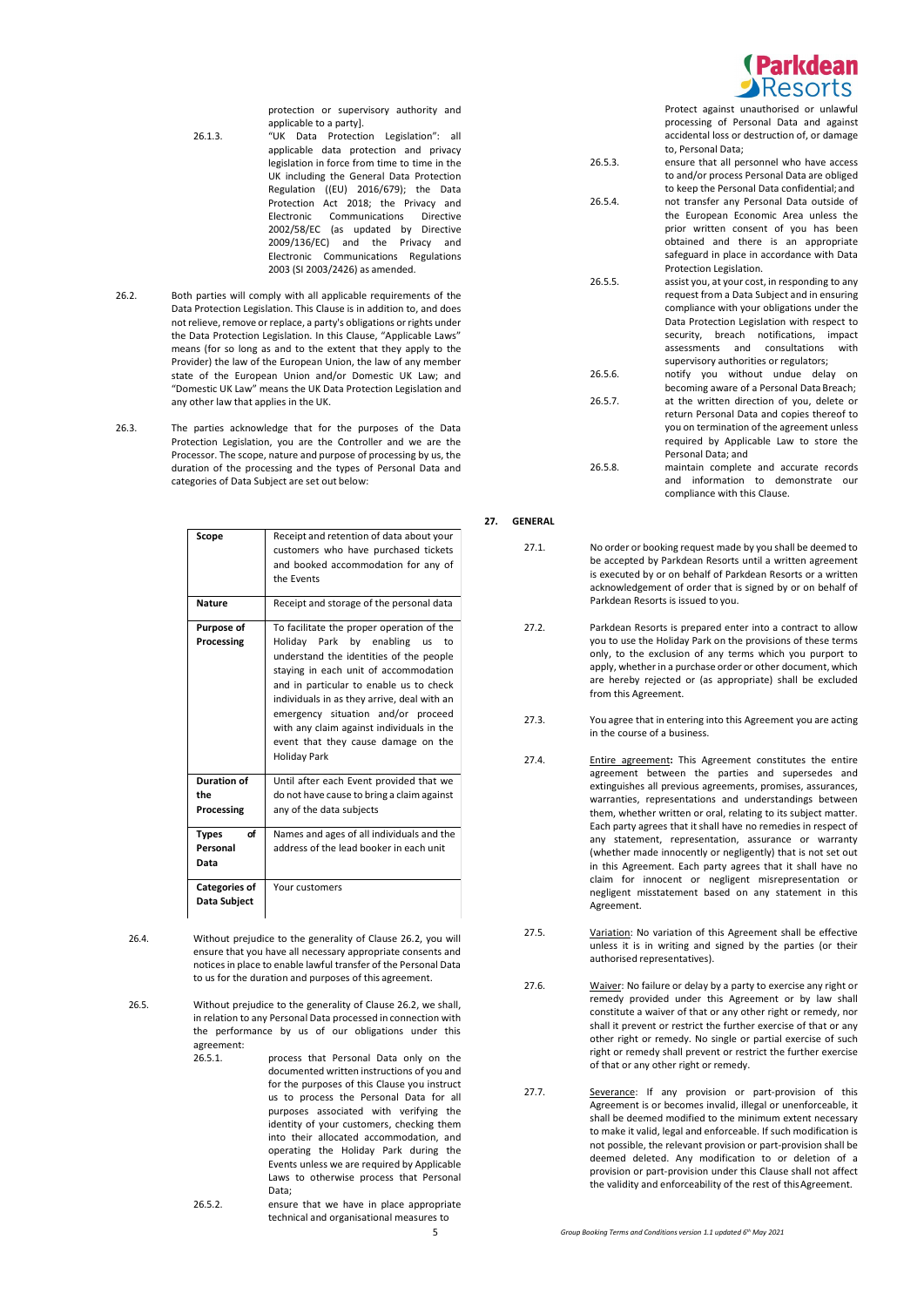

protection or supervisory authority and applicable to a party].

- 26.1.3. "UK Data Protection Legislation": all applicable data protection and privacy legislation in force from time to time in the UK including the General Data Protection Regulation ((EU) 2016/679); the Data Protection Act 2018; the Privacy and<br>Electronic Communications Directive Communications Directive 2002/58/EC (as updated by Directive 2009/136/EC) and the Privacy and Electronic Communications Regulations 2003 (SI 2003/2426) as amended.
- 26.2. Both parties will comply with all applicable requirements of the Data Protection Legislation. This Clause is in addition to, and does not relieve, remove or replace, a party's obligations or rights under the Data Protection Legislation. In this Clause, "Applicable Laws" means (for so long as and to the extent that they apply to the Provider) the law of the European Union, the law of any member state of the European Union and/or Domestic UK Law; and "Domestic UK Law" means the UK Data Protection Legislation and any other law that applies in the UK.
- 26.3. The parties acknowledge that for the purposes of the Data Protection Legislation, you are the Controller and we are the Processor. The scope, nature and purpose of processing by us, the duration of the processing and the types of Personal Data and categories of Data Subject are set out below:

| Scope                                   | Receipt and retention of data about your<br>customers who have purchased tickets<br>and booked accommodation for any of<br>the Events                                                                                                                                                                                                                                                                         |  |
|-----------------------------------------|---------------------------------------------------------------------------------------------------------------------------------------------------------------------------------------------------------------------------------------------------------------------------------------------------------------------------------------------------------------------------------------------------------------|--|
| <b>Nature</b>                           | Receipt and storage of the personal data                                                                                                                                                                                                                                                                                                                                                                      |  |
| Purpose of<br>Processing                | To facilitate the proper operation of the<br>Holiday Park by enabling us<br>to<br>understand the identities of the people<br>staying in each unit of accommodation<br>and in particular to enable us to check<br>individuals in as they arrive, deal with an<br>emergency situation and/or proceed<br>with any claim against individuals in the<br>event that they cause damage on the<br><b>Holiday Park</b> |  |
| <b>Duration of</b><br>the<br>Processing | Until after each Event provided that we<br>do not have cause to bring a claim against<br>any of the data subjects                                                                                                                                                                                                                                                                                             |  |
| σf<br><b>Types</b><br>Personal<br>Data  | Names and ages of all individuals and the<br>address of the lead booker in each unit                                                                                                                                                                                                                                                                                                                          |  |
| <b>Categories of</b><br>Data Subject    | Your customers                                                                                                                                                                                                                                                                                                                                                                                                |  |

26.4. Without prejudice to the generality of Clause 26.2, you will ensure that you have all necessary appropriate consents and notices in place to enable lawful transfer of the Personal Data to us for the duration and purposes of this agreement.

26.5. Without prejudice to the generality of Clause 26.2, we shall, in relation to any Personal Data processed in connection with the performance by us of our obligations under this agreement:<br>26.5.1.

- process that Personal Data only on the documented written instructions of you and for the purposes of this Clause you instruct us to process the Personal Data for all purposes associated with verifying the identity of your customers, checking them into their allocated accommodation, and operating the Holiday Park during the Events unless we are required by Applicable Laws to otherwise process that Personal Data;
- 26.5.2. ensure that we have in place appropriate technical and organisational measures to

Protect against unauthorised or unlawful processing of Personal Data and against accidental loss or destruction of, or damage

to, Personal Data; 26.5.3. ensure that all personnel who have access to and/or process Personal Data are obliged to keep the Personal Data confidential;and 26.5.4. not transfer any Personal Data outside of the European Economic Area unless the prior written consent of you has been obtained and there is an appropriate safeguard in place in accordance with Data Protection Legislation. 26.5.5. assist you, at your cost, in responding to any request from a Data Subject and in ensuring compliance with your obligations under the Data Protection Legislation with respect to security, breach notifications, impact<br>assessments and consultations with assessments and consultations supervisory authorities or regulators; 26.5.6. notify you without undue delay on becoming aware of a Personal Data Breach; 26.5.7. at the written direction of you, delete or return Personal Data and copies thereof to you on termination of the agreement unless required by Applicable Law to store the Personal Data; and 26.5.8. maintain complete and accurate records and information to demonstrate our

compliance with this Clause.

## **27. GENERAL**

- 27.1. No order or booking request made by you shall be deemed to be accepted by Parkdean Resorts until a written agreement is executed by or on behalf of Parkdean Resorts or a written acknowledgement of order that is signed by or on behalf of Parkdean Resorts is issued to you.
- 27.2. Parkdean Resorts is prepared enter into a contract to allow you to use the Holiday Park on the provisions of these terms only, to the exclusion of any terms which you purport to apply, whether in a purchase order or other document, which are hereby rejected or (as appropriate) shall be excluded from this Agreement.
- 27.3. You agree that in entering into this Agreement you are acting in the course of a business.
- 27.4. Entire agreement**:** This Agreement constitutes the entire agreement between the parties and supersedes and extinguishes all previous agreements, promises, assurances, warranties, representations and understandings between them, whether written or oral, relating to its subject matter. Each party agrees that it shall have no remedies in respect of any statement, representation, assurance or warranty (whether made innocently or negligently) that is not set out in this Agreement. Each party agrees that it shall have no claim for innocent or negligent misrepresentation or negligent misstatement based on any statement in this Agreement.
- 27.5. Variation: No variation of this Agreement shall be effective unless it is in writing and signed by the parties (or their authorised representatives).
- 27.6. Waiver: No failure or delay by a party to exercise any right or remedy provided under this Agreement or by law shall constitute a waiver of that or any other right or remedy, nor shall it prevent or restrict the further exercise of that or any other right or remedy. No single or partial exercise of such right or remedy shall prevent or restrict the further exercise of that or any other right or remedy.
- 27.7. Severance: If any provision or part-provision of this Agreement is or becomes invalid, illegal or unenforceable, it shall be deemed modified to the minimum extent necessary to make it valid, legal and enforceable. If such modification is not possible, the relevant provision or part-provision shall be deemed deleted. Any modification to or deletion of a provision or part-provision under this Clause shall not affect the validity and enforceability of the rest of thisAgreement.

5 *Group Booking Terms and Conditions version 1.1 updated 6th May 2021*